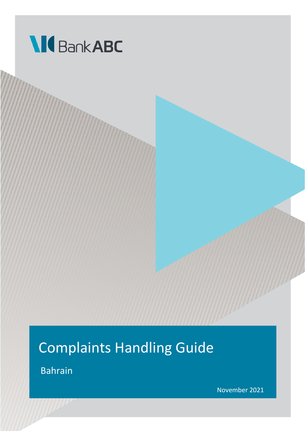

## Complaints Handling Guide

Bahrain

November 2021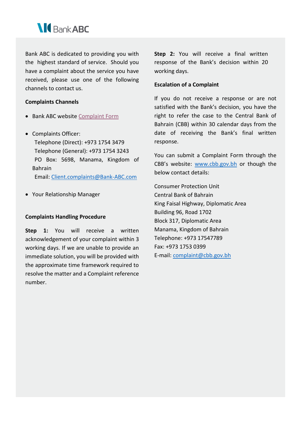

Bank ABC is dedicated to providing you with the highest standard of service. Should you have a complaint about the service you have received, please use one of the following channels to contact us.

## **Complaints Channels**

- Bank ABC website [Complaint Form](https://www.bank-abc.com/En/Pages/Feedback.aspx)
- Complaints Officer: Telephone (Direct): +973 1754 3479 Telephone (General): +973 1754 3243 PO Box: 5698, Manama, Kingdom of Bahrain

Email: [Client.complaints@Bank-ABC.com](mailto:Client.complaints@Bank-ABC.com)

• Your Relationship Manager

## **Complaints Handling Procedure**

**Step 1:** You will receive a written acknowledgement of your complaint within 3 working days. If we are unable to provide an immediate solution, you will be provided with the approximate time framework required to resolve the matter and a Complaint reference number.

**Step 2:** You will receive a final written response of the Bank's decision within 20 working days.

## **Escalation of a Complaint**

If you do not receive a response or are not satisfied with the Bank's decision, you have the right to refer the case to the Central Bank of Bahrain (CBB) within 30 calendar days from the date of receiving the Bank's final written response.

You can submit a Complaint Form through the CBB's website: [www.cbb.gov.bh](http://www.cbb.gov.bh/) or though the below contact details:

Consumer Protection Unit Central Bank of Bahrain King Faisal Highway, Diplomatic Area Building 96, Road 1702 Block 317, Diplomatic Area Manama, Kingdom of Bahrain Telephone: +973 17547789 Fax: +973 1753 0399 E-mail: [complaint@cbb.gov.bh](mailto:complaint@cbb.gov.bh)